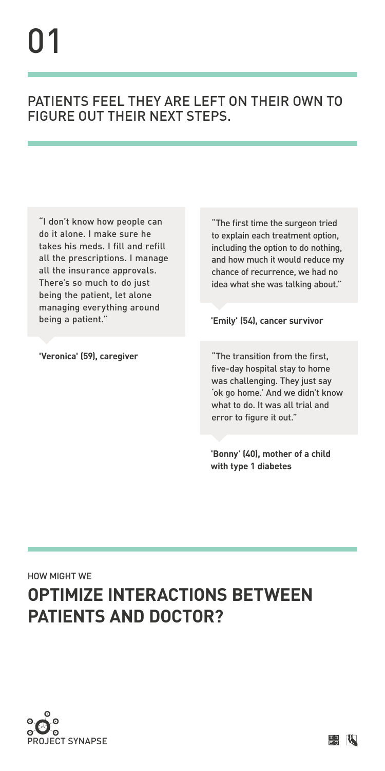





# **OPTIMIZE INTERACTIONS BETWEEN patients and doctor?**

"The first time the surgeon tried to explain each treatment option, including the option to do nothing, and how much it would reduce my chance of recurrence, we had no idea what she was talking about."

### **'Emily' (54), cancer survivor**

### Patients feel they are left on their own to FIGURE OUT THEIR NEXT STEPS.

"I don't know how people can do it alone. I make sure he takes his meds. I fill and refill all the prescriptions. I manage all the insurance approvals. There's so much to do just being the patient, let alone managing everything around being a patient."

**'Veronica' (59), caregiver** "The transition from the first, five-day hospital stay to home was challenging. They just say 'ok go home.' And we didn't know what to do. It was all trial and error to figure it out."

**'Bonny' (40), mother of a child with type 1 diabetes**

# 01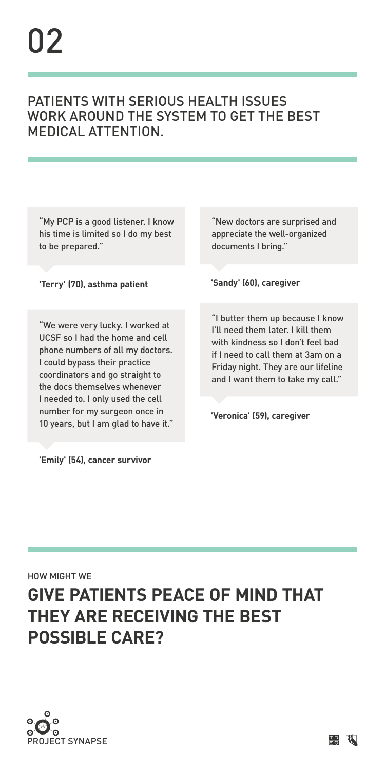





# **give patients peace of mind that they are receiving the best possible care?**

"I butter them up because I know I'll need them later. I kill them with kindness so I don't feel bad if I need to call them at 3am on a Friday night. They are our lifeline and I want them to take my call."

**'Veronica' (59), caregiver**

"New doctors are surprised and appreciate the well-organized documents I bring."

**'Sandy' (60), caregiver**

# 02

### Patients with serious health issues work around the system to get the best MEDICAL ATTENTION.

"My PCP is a good listener. I know his time is limited so I do my best to be prepared."

### **'Terry' (70), asthma patient**

"We were very lucky. I worked at UCSF so I had the home and cell phone numbers of all my doctors. I could bypass their practice coordinators and go straight to the docs themselves whenever I needed to. I only used the cell number for my surgeon once in 10 years, but I am glad to have it."

**'Emily' (54), cancer survivor**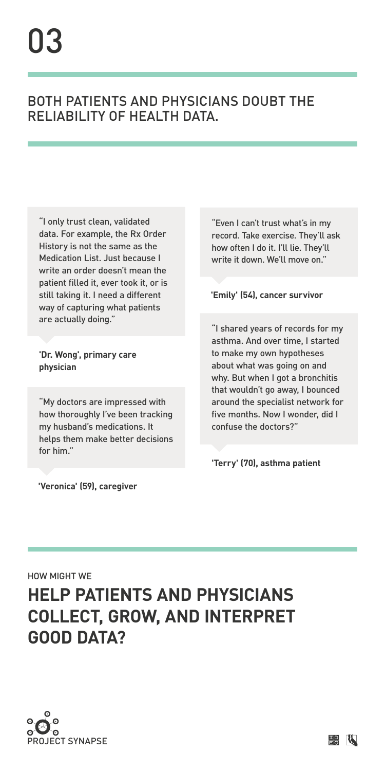



# **help patients and physicians collect, grow, and interpret good data?**

"My doctors are impressed with how thoroughly I've been tracking my husband's medications. It helps them make better decisions for him."

**'Veronica' (59), caregiver**

HOW MIGHT WE

"Even I can't trust what's in my record. Take exercise. They'll ask how often I do it. I'll lie. They'll write it down. We'll move on."

#### **'Emily' (54), cancer survivor**

"I only trust clean, validated data. For example, the Rx Order History is not the same as the Medication List. Just because I write an order doesn't mean the patient filled it, ever took it, or is still taking it. I need a different way of capturing what patients are actually doing."

**'Dr. Wong', primary care physician**

"I shared years of records for my asthma. And over time, I started to make my own hypotheses about what was going on and why. But when I got a bronchitis

that wouldn't go away, I bounced around the specialist network for five months. Now I wonder, did I confuse the doctors?"

### **'Terry' (70), asthma patient**

# 03

### Both patients and physicians doubt the reliability of health data.